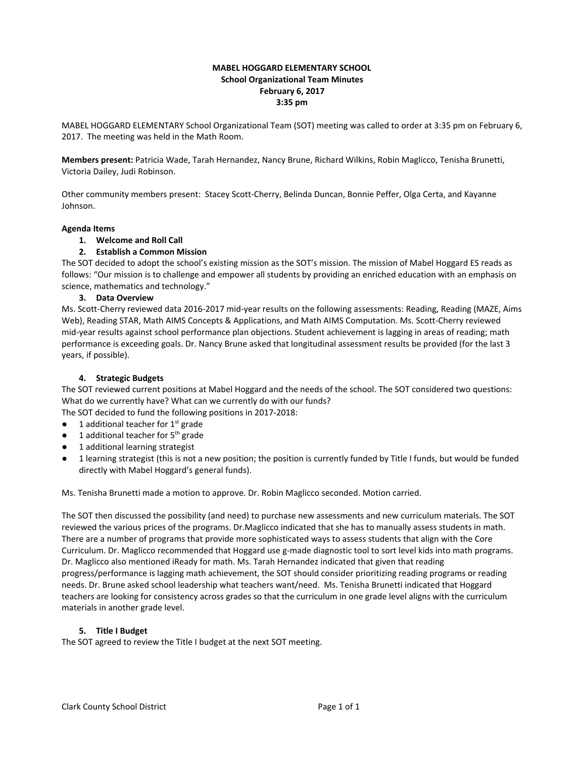# **MABEL HOGGARD ELEMENTARY SCHOOL School Organizational Team Minutes February 6, 2017 3:35 pm**

MABEL HOGGARD ELEMENTARY School Organizational Team (SOT) meeting was called to order at 3:35 pm on February 6, 2017. The meeting was held in the Math Room.

**Members present:** Patricia Wade, Tarah Hernandez, Nancy Brune, Richard Wilkins, Robin Maglicco, Tenisha Brunetti, Victoria Dailey, Judi Robinson.

Other community members present: Stacey Scott-Cherry, Belinda Duncan, Bonnie Peffer, Olga Certa, and Kayanne Johnson.

#### **Agenda Items**

#### **1. Welcome and Roll Call**

# **2. Establish a Common Mission**

The SOT decided to adopt the school's existing mission as the SOT's mission. The mission of Mabel Hoggard ES reads as follows: "Our mission is to challenge and empower all students by providing an enriched education with an emphasis on science, mathematics and technology."

#### **3. Data Overview**

Ms. Scott-Cherry reviewed data 2016-2017 mid-year results on the following assessments: Reading, Reading (MAZE, Aims Web), Reading STAR, Math AIMS Concepts & Applications, and Math AIMS Computation. Ms. Scott-Cherry reviewed mid-year results against school performance plan objections. Student achievement is lagging in areas of reading; math performance is exceeding goals. Dr. Nancy Brune asked that longitudinal assessment results be provided (for the last 3 years, if possible).

#### **4. Strategic Budgets**

The SOT reviewed current positions at Mabel Hoggard and the needs of the school. The SOT considered two questions: What do we currently have? What can we currently do with our funds?

The SOT decided to fund the following positions in 2017-2018:

- $\bullet$  1 additional teacher for 1<sup>st</sup> grade
- $\bullet$  1 additional teacher for 5<sup>th</sup> grade
- 1 additional learning strategist
- 1 learning strategist (this is not a new position; the position is currently funded by Title I funds, but would be funded directly with Mabel Hoggard's general funds).

Ms. Tenisha Brunetti made a motion to approve. Dr. Robin Maglicco seconded. Motion carried.

The SOT then discussed the possibility (and need) to purchase new assessments and new curriculum materials. The SOT reviewed the various prices of the programs. Dr.Maglicco indicated that she has to manually assess students in math. There are a number of programs that provide more sophisticated ways to assess students that align with the Core Curriculum. Dr. Maglicco recommended that Hoggard use g-made diagnostic tool to sort level kids into math programs. Dr. Maglicco also mentioned iReady for math. Ms. Tarah Hernandez indicated that given that reading progress/performance is lagging math achievement, the SOT should consider prioritizing reading programs or reading needs. Dr. Brune asked school leadership what teachers want/need. Ms. Tenisha Brunetti indicated that Hoggard teachers are looking for consistency across grades so that the curriculum in one grade level aligns with the curriculum materials in another grade level.

#### **5. Title I Budget**

The SOT agreed to review the Title I budget at the next SOT meeting.